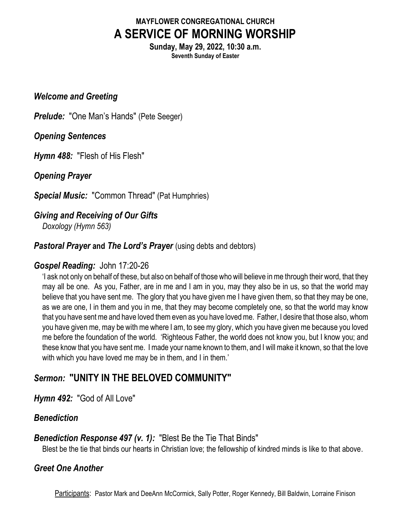# MAYFLOWER CONGREGATIONAL CHURCH A SERVICE OF MORNING WORSHIP

Sunday, May 29, 2022, 10:30 a.m. Seventh Sunday of Easter

#### Welcome and Greeting

**Prelude:** "One Man's Hands" (Pete Seeger)

### Opening Sentences

Hymn 488: "Flesh of His Flesh"

### Opening Prayer

Special Music: "Common Thread" (Pat Humphries)

# Giving and Receiving of Our Gifts

Doxology (Hymn 563)

### Pastoral Prayer and The Lord's Prayer (using debts and debtors)

### Gospel Reading: John 17:20-26

'I ask not only on behalf of these, but also on behalf of those who will believe in me through their word, that they may all be one. As you, Father, are in me and I am in you, may they also be in us, so that the world may believe that you have sent me. The glory that you have given me I have given them, so that they may be one, as we are one, I in them and you in me, that they may become completely one, so that the world may know that you have sent me and have loved them even as you have loved me. Father, I desire that those also, whom you have given me, may be with me where I am, to see my glory, which you have given me because you loved me before the foundation of the world. 'Righteous Father, the world does not know you, but I know you; and these know that you have sent me. I made your name known to them, and I will make it known, so that the love with which you have loved me may be in them, and I in them.'

# Sermon: "UNITY IN THE BELOVED COMMUNITY"

Hymn 492: "God of All Love"

# Benediction

### **Benediction Response 497 (v. 1):** "Blest Be the Tie That Binds"

Blest be the tie that binds our hearts in Christian love; the fellowship of kindred minds is like to that above.

# Greet One Another

Participants: Pastor Mark and DeeAnn McCormick, Sally Potter, Roger Kennedy, Bill Baldwin, Lorraine Finison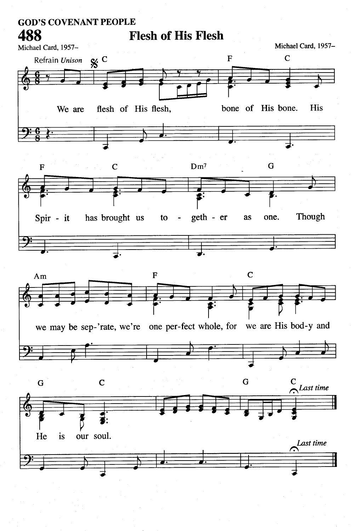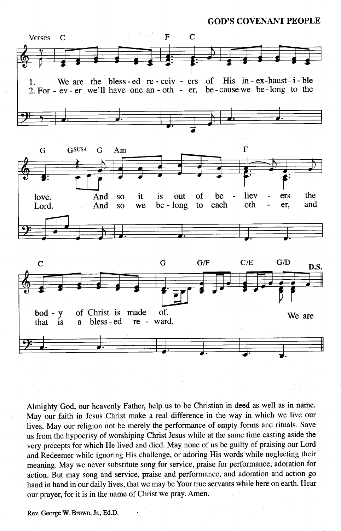**GOD'S COVENANT PEOPLE** 

![](_page_2_Figure_1.jpeg)

Almighty God, our heavenly Father, help us to be Christian in deed as well as in name. May our faith in Jesus Christ make a real difference in the way in which we live our lives. May our religion not be merely the performance of empty forms and rituals. Save us from the hypocrisy of worshiping Christ Jesus while at the same time casting aside the very precepts for which He lived and died. May none of us be guilty of praising our Lord and Redeemer while ignoring His challenge, or adoring His words while neglecting their meaning. May we never substitute song for service, praise for performance, adoration for action. But may song and service, praise and performance, and adoration and action go hand in hand in our daily lives, that we may be Your true servants while here on earth. Hear our prayer, for it is in the name of Christ we pray. Amen.

Rev. George W. Brown, Jr., Ed.D.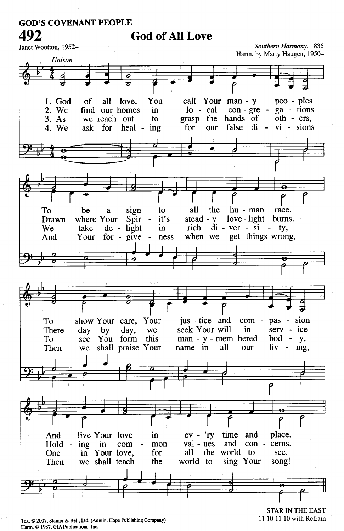#### **GOD'S COVENANT PEOPLE** 492

# **God of All Love**

Janet Wootton, 1952-

Southern Harmony, 1835 Harm. by Marty Haugen, 1950-

![](_page_3_Picture_4.jpeg)

Text © 2007, Stainer & Bell, Ltd. (Admin. Hope Publishing Company) Harm. C 1987, GIA Publications, Inc.

**STAR IN THE EAST** 11 10 11 10 with Refrain